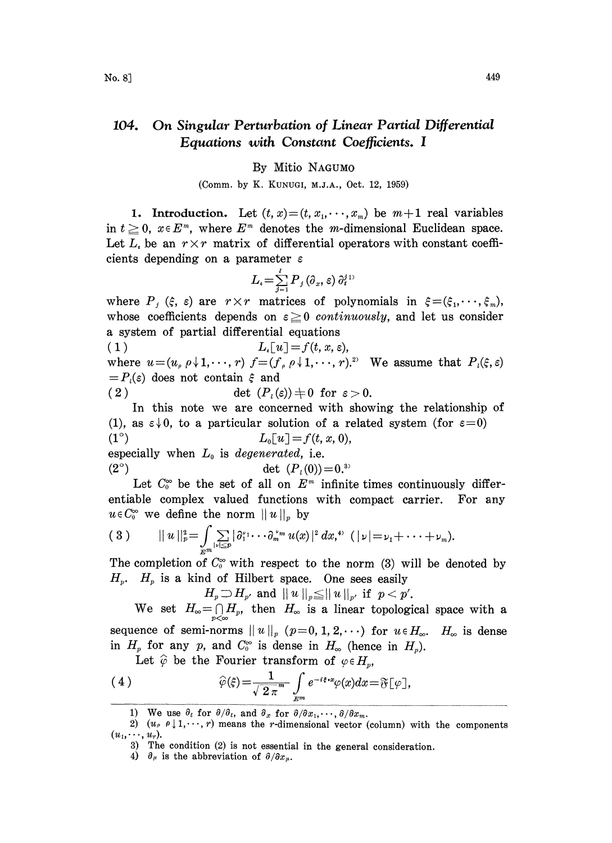## 104. On Singular Perturbation of Linear Partial Differential Equations with Constant Coefficients. I

## By Mitio NAGUMO

(Comm. by K. KUNUGI, M.J.A., Oct. 12, 1959)

1. Introduction. Let  $(t, x) = (t, x_1, \dots, x_m)$  be  $m+1$  real variables in  $t \geq 0$ ,  $x \in E^m$ , where  $E^m$  denotes the *m*-dimensional Euclidean space. Let  $L_i$  be an  $r \times r$  matrix of differential operators with constant coefficients depending on a parameter  $\varepsilon$ 

$$
L_{\epsilon}\!=\!\sum_{j=1}^{\ell}{{P}_{j}\left(\partial_{x},\varepsilon\right)\partial_{t}^{j}}^{\,1)}
$$

where  $P_j$  ( $\xi$ ,  $\varepsilon$ ) are  $r \times r$  matrices of polynomials in  $\xi = (\xi_1, \dots, \xi_m)$ , whose coefficients depends on  $\varepsilon \geq 0$  continuously, and let us consider a system of partial differential equations

(1)  $L_{\epsilon}[u] = f(t, x, \epsilon),$ where  $u=(u_{\rho} \rho \downarrow 1,\dots, r)$   $f=(f_{\rho} \rho \downarrow 1,\dots, r)$ . We assume that  $P_{\nu}(\xi, \varepsilon)$  $=P<sub>i</sub>(\varepsilon)$  does not contain  $\xi$  and (2)  $\det(P_i(\varepsilon)) \neq 0$  for  $\varepsilon > 0$ .

In this note we are concerned with showing the relationship of (1), as  $\varepsilon \downarrow 0$ , to a particular solution of a related system (for  $\varepsilon = 0$ )

(1<sup>o</sup>)  $L_0[u] = f(t, x, 0),$ especially when  $L_0$  is degenerated, i.e. (2<sup>o</sup>) det  $(P_i(0))=0.^{3}$ 

Let  $C_0^{\infty}$  be the set of all on  $E^m$  infinite times continuously differentiable complex valued functions with compact carrier. For any  $u \in C_0^{\infty}$  we define the norm  $||u||_p$  by

$$
(3) \qquad ||u||_{p}^{2} = \int_{E^{m}} \sum_{|\nu| \leq p} |\partial_{1}^{\nu_{1}} \cdots \partial_{m}^{\nu_{m}} u(x)|^{2} dx, \qquad (|\nu| = \nu_{1} + \cdots + \nu_{m}).
$$

The completion of  $C_0^{\infty}$  with respect to the norm (3) will be denoted by  $H_p$ .  $H_p$  is a kind of Hilbert space. One sees easily

 $H_p \supset H_{p'}$  and  $||u||_p \leq ||u||_{p'}$  if  $p < p'$ .

We set  $H_{\infty}=\bigcap_{p<\infty}H_p$ , then  $H_{\infty}$  is a linear topological space with a sequence of semi-norms  $||u||_p$  ( $p=0, 1, 2, \cdots$ ) for  $u \in H_\infty$ .  $H_\infty$  is dense in  $H_p$  for any p, and  $C_0^{\infty}$  is dense in  $H_{\infty}$  (hence in  $H_p$ ).

Let  $\hat{\varphi}$  be the Fourier transform of  $\varphi \in H_p$ ,

(4) 
$$
\widehat{\varphi}(\xi) = \frac{1}{\sqrt{2 \pi^m}} \int_{E^m} e^{-i\xi \cdot x} \varphi(x) dx = \mathfrak{F}[\varphi],
$$

<sup>1)</sup> We use  $\partial_t$  for  $\partial/\partial_t$ , and  $\partial_x$  for  $\partial/\partial x_1,\dots, \partial/\partial x_m$ .

<sup>2)</sup>  $(u_p \rho \downarrow 1,\dots, r)$  means the r-dimensional vector (column) with the components  $(u_1,\cdots, u_r).$ 

<sup>3)</sup> The condition (2) is not essential in the general consideration.

<sup>4)</sup>  $\partial_{\mu}$  is the abbreviation of  $\partial/\partial x_{\mu}$ .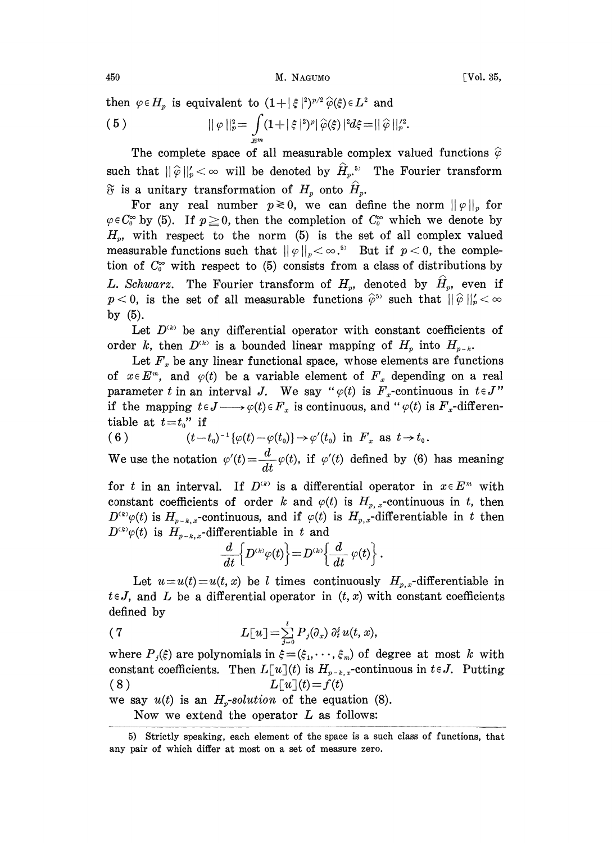450 **M. NAGUMO Vol. 35,** 

then  $\varphi \in H_p$  is equivalent to  $(1+|\xi|^2)^{p/2} \widehat{\varphi}(\xi) \in L^2$  and (5)  $\|\varphi\|_{p}^{2} = \int (1 + |\xi|^{2})^{p} |\hat{\varphi}(\xi)|^{2} d\xi = ||\hat{\varphi}||_{p}^{\prime 2}.$ 

The complete space of all measurable complex valued functions  $\hat{\varphi}$ such that  $||\hat{\varphi}||_{p}' < \infty$  will be denoted by  $\hat{H}_{p}$ <sup>5</sup>. The Fourier transform  $\widetilde{\sigma}$  is a unitary transformation of  $H_p$  onto  $\widehat{H}_p$ .

For any real number  $p\ge 0$ , we can define the norm  $||\varphi||_p$  for  $\varphi \in C_0^{\infty}$  by (5). If  $p \ge 0$ , then the completion of  $C_0^{\infty}$  which we denote by  $H_p$ , with respect to the norm (5) is the set of all complex valued measurable functions such that  $||\varphi||_p < \infty$ .<sup>55</sup> But if  $p < 0$ , the completion of  $C_0^{\infty}$  with respect to (5) consists from a class of distributions by L. Schwarz. The Fourier transform of  $H_p$ , denoted by  $\hat{H}_p$ , even if  $p < 0$ , is the set of all measurable functions  $\hat{\varphi}^5$  such that  $||\hat{\varphi}||_p' < \infty$ by (5).

Let  $D^{(k)}$  be any differential operator with constant coefficients of order k, then  $D^{(k)}$  is a bounded linear mapping of  $H_p$  into  $H_{p-k}$ .

Let  $F_x$  be any linear functional space, whose elements are functions of  $x \in E^m$ , and  $\varphi(t)$  be a variable element of  $F_x$  depending on a real parameter t in an interval J. We say " $\varphi(t)$  is  $F_x$ -continuous in  $t \in J$ " if the mapping  $t \in J \longrightarrow \varphi(t) \in F_x$  is continuous, and " $\varphi(t)$  is  $F_x$ -differentiable at  $t=t_0$ " if

(6) 
$$
(t-t_0)^{-1}{\varphi(t) - \varphi(t_0)} \to \varphi'(t_0)
$$
 in  $F_x$  as  $t \to t_0$ .

We use the notation  $\varphi'(t) = \frac{d}{dt}\varphi(t)$ , if  $\varphi'(t)$  defined by (6) has meaning

for t in an interval. If  $D^{(k)}$  is a differential operator in  $x \in E^m$  with constant coefficients of order k and  $\varphi(t)$  is  $H_{p,x}$ -continuous in t, then  $D^{(k)}\varphi(t)$  is  $H_{p-k,x}$ -continuous, and if  $\varphi(t)$  is  $H_{p,x}$ -differentiable in t then  $D^{(k)}\varphi(t)$  is  $H_{p-k,x}$ -differentiable in t and

$$
\frac{d}{dt}\Big\{D^{\scriptscriptstyle (k)}\varphi(t)\Big\}\!=\!D^{\scriptscriptstyle (k)}\!\Big\{\frac{d}{dt}\:\varphi(t)\Big\}\,.
$$

Let  $u=u(t)=u(t, x)$  be l times continuously  $H_{p,x}$ -differentiable in  $t \in J$ , and L be a differential operator in  $(t, x)$  with constant coefficients defined by

(7) 
$$
L[u] = \sum_{j=0}^{l} P_j(\partial_x) \partial_t^j u(t, x),
$$

 $=\sum\limits_{j=0}^{\infty}P_j(\partial_x)\ \partial_t^j\,u(t,\,x), \nonumber \ \text{and}\ \ \hat{\varepsilon}\!=\!(\hat{\varepsilon}_1,\cdot\cdot\cdot,\hat{\varepsilon}_m)\ \text{of}\ \ \hat{\varepsilon}\!\left[u\right]\!(t)\ \text{is}\ \ H_{p-k,\,x}\text{-cont.} \ \text{and}\ \ \hat{L}\!\left[u\right]\!(t)=f\left(t\right)$ where  $P_j(\xi)$  are polynomials in  $\xi = (\xi_1, \dots, \xi_m)$  of degree at most k with constant coefficients. Then  $L[u](t)$  is  $H_{p-k,x}$ -continuous in  $t \in J$ . Putting (8)  $L[u](t) = f(t)$ 

we say  $u(t)$  is an  $H_p$ -solution of the equation (8).

Now we extend the operator  $L$  as follows:

<sup>5)</sup> Strictly speaking, each element of the space is a such class of functions, that any pair of which differ at most on a set of measure zero.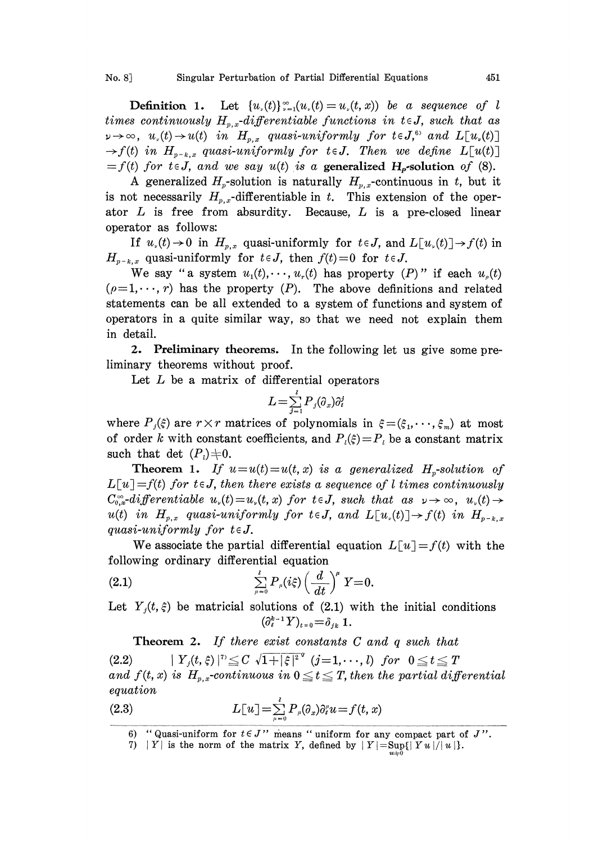**Definition 1.** Let  $\{u_{\nu}(t)\}_{\nu=1}^{\infty}(u_{\nu}(t) = u_{\nu}(t,x))$  be a sequence of l times continuously  $H_{p,x}$ -differentiable functions in  $t \in J$ , such that as  $\nu \rightarrow \infty$ ,  $u_{\nu}(t) \rightarrow u(t)$  in  $H_{p,x}$  quasi-uniformly for  $t \in J$ ,<sup>6</sup> and  $L[u_{\nu}(t)]$  $\rightarrow$  f(t) in  $H_{p-k,x}$  quasi-uniformly for teJ. Then we define  $L[u(t)]$  $=f(t)$  for  $t \in J$ , and we say  $u(t)$  is a generalized H<sub>p</sub>-solution of (8).

A generalized  $H_p$ -solution is naturally  $H_{p,x}$ -continuous in t, but it is not necessarily  $H_{p,x}$ -differentiable in t. This extension of the operator  $L$  is free from absurdity. Because,  $L$  is a pre-closed linear operator as follows:

If  $u_{\nu}(t)\to 0$  in  $H_{p,x}$  quasi-uniformly for  $t\in J$ , and  $L[u_{\nu}(t)]\to f(t)$  in  $H_{p-k, x}$  quasi-uniformly for  $t \in J$ , then  $f(t) = 0$  for  $t \in J$ .

We say "a system  $u_1(t), \dots, u_r(t)$  has property  $(P)$ " if each  $u_0(t)$  $(\rho=1,\dots, r)$  has the property  $(P)$ . The above definitions and related statements can be all extended to a system of functions and system of operators in a quite similar way, so that we need not explain them in detail.

2. Preliminary theorems. In the following let us give some preliminary theorems without proof.

Let  $L$  be a matrix of differential operators

$$
L\!=\!\textstyle\sum\limits_{j=1}^{l}P_j(\partial_x)\partial_t^j
$$

where  $P_i(\xi)$  are  $r \times r$  matrices of polynomials in  $\xi = (\xi_1, \dots, \xi_m)$  at most of order k with constant coefficients, and  $P_i(\xi)=P_i$  be a constant matrix such that det  $(P_i)\neq0$ .

**Theorem 1.** If  $u=u(t)=u(t,x)$  is a generalized  $H_p$ -solution of  $L[u] = f(t)$  for  $t \in J$ , then there exists a sequence of l times continuously  $C_{0,x}^{\infty}$ -differentiable  $u_{\nu}(t) = u_{\nu}(t, x)$  for  $t \in J$ , such that as  $\nu \to \infty$ ,  $u_{\nu}(t) \to$ u(t) in  $H_{p,x}$  quasi-uniformly for  $t \in J$ , and  $L[u_*(t)] \to f(t)$  in  $H_{p-k,x}$ quasi-uniformly for  $t \in J$ .

We associate the partial differential equation  $L[u] = f(t)$  with the following ordinary differential equation

(2.1) 
$$
\sum_{\mu=0}^{l} P_{\mu}(i\xi) \left(\frac{d}{dt}\right)^{\mu} Y = 0.
$$

Let  $Y_i(t, \xi)$  be matricial solutions of (2.1) with the initial conditions  $(\partial_t^{k-1} Y)_{t=0} = \delta_{jk} 1.$ <br>exist constants

**Theorem 2.** If there exist constants  $C$  and  $q$  such that  $\left\{ \begin{array}{ll} 2.2) \qquad & | \ Y_{\scriptscriptstyle j}(t,\xi) \, |^{\scriptscriptstyle \mathcal{D}} \leq C \, \sqrt{1+|\xi|^{\scriptscriptstyle 2}}^{\;\;\alpha} \, \left( j\!=\! 1,\cdots,l \right) \, \, for \, \, \, 0 \leq \! t \leq T \end{array} \right.$  $(2.2)$   $|Y_j(t, \xi)|^{\gamma} \leq C \sqrt{1+|\xi|^2} (j=1,\dots, l)$  for  $0 \leq t \leq T$ <br>and  $f(t, x)$  is  $H_{p,x}$ -continuous in  $0 \leq t \leq T$ , then the partial differential equation

(2.3) 
$$
L[u] = \sum_{\mu=0}^{t} P_{\mu}(\partial_{x}) \partial_{\ell}^{\mu} u = f(t, x)
$$

<sup>6) &</sup>quot;Quasi-uniform for  $t \in J$ " means "uniform for any compact part of J".

<sup>7) |</sup> Y | is the norm of the matrix Y, defined by  $|Y| = \sup_{u \neq 0} \{ |Yu| / |u| \}.$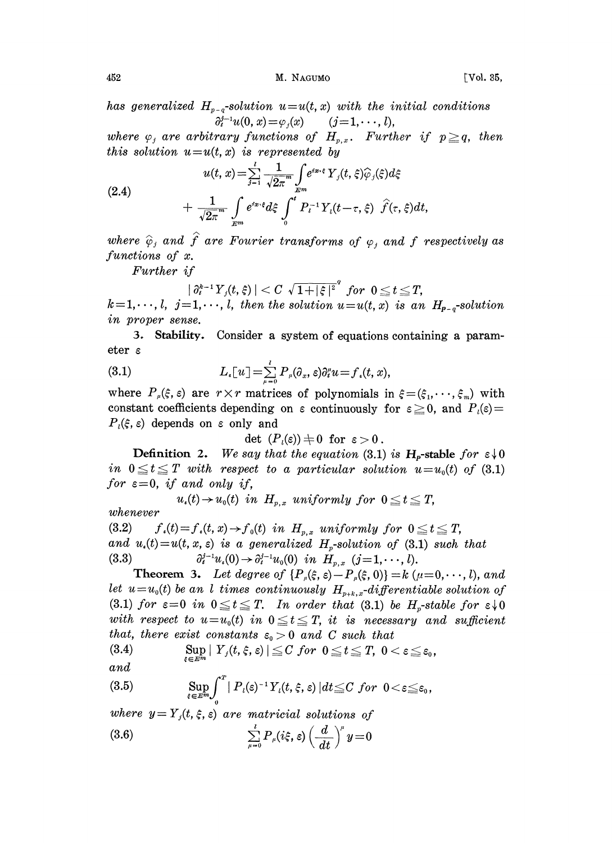452 **M. NAGUMO M. NAGUMO [Vol. 35,** 

has generalized  $H_{p-q}$ -solution  $u=u(t, x)$  with the initial conditions  $\partial_t^{j-1}u(0, x) = \varphi_i(x)$   $(j=1, \dots, l),$ 

where  $\varphi_j$  are arbitrary functions of  $H_{p,x}$ . Further if  $p \geq q$ , then this solution  $u=u(t, x)$  is represented by

Thus solution 
$$
u = u(t, x)
$$
 is represented by

\n
$$
u(t, x) = \sum_{j=1}^{l} \frac{1}{\sqrt{2\pi}^{m}} \int_{E^{m}} e^{i x \cdot \xi} Y_{j}(t, \xi) \widehat{\varphi}_{j}(\xi) d\xi
$$
\n
$$
+ \frac{1}{\sqrt{2\pi}^{m}} \int_{E^{m}} e^{i x \cdot \xi} d\xi \int_{0}^{t} P_{i}^{-1} Y_{i}(t - \tau, \xi) \widehat{f}(\tau, \xi) dt,
$$

where  $\hat{\varphi}_i$  and  $\hat{f}$  are Fourier transforms of  $\varphi_i$  and f respectively as functions of x.

Further if

$$
|\partial_t^{k-1}Y_j(t,\xi)| < C\ \sqrt{1+|\xi|^2} \ \ \text{for}\ \ 0 \leq t \leq T,
$$

 $k=1,\dots, l, j=1,\dots, l,$  then the solution  $u=u(t, x)$  is an  $H_{p-q}$ -solution in proper sense.

. Stability. Consider <sup>a</sup> system of equations containing <sup>a</sup> parameter

(3.1) 
$$
L_{\epsilon}[u] = \sum_{\mu=0}^{l} P_{\mu}(\partial_{x}, \epsilon) \partial_{t}^{\mu} u = f_{\epsilon}(t, x),
$$

where  $P_{\mu}(\xi, \varepsilon)$  are  $r \times r$  matrices of polynomials in  $\xi = (\xi_1, \dots, \xi_m)$  with constant coefficients depending on  $\varepsilon$  continuously for  $\varepsilon \geq 0$ , and  $P_t(\varepsilon)$  $P_{\iota}(\xi, \varepsilon)$  depends on  $\varepsilon$  only and

det  $(P_i(\varepsilon)) \neq 0$  for  $\varepsilon > 0$ .

**Definition 2.** We say that the equation (3.1) is  $H_p$ -stable for  $\epsilon \downarrow 0$ in  $0 \le t \le T$  with respect to a particular solution  $u=u_0(t)$  of (3.1) for  $\varepsilon = 0$ , if and only if,

 $u_{i}(t) \rightarrow u_{0}(t)$  in  $H_{n,x}$  uniformly for  $0 \leq t \leq T$ ,

(3.2)  $f_*(t) = f_*(t, x) \rightarrow f_0(t)$  in  $H_{p,x}$  uniformly for  $0 \le t \le T$ , and  $u_i(t)=u(t, x, \varepsilon)$  is a generalized  $H_p$ -solution of (3.1) such that (3.3)  $\partial_t^{j-1} u_i(0) \to \partial_t^{j-1} u_0(0)$  in  $H_{p,x}$  (j=1,..., l).

**Theorem 3.** Let degree of  $\{P_{\mu}(\xi, \xi) - P_{\mu}(\xi, 0)\} = k \ (\mu = 0, \dots, l),$  and let  $u=u_0(t)$  be an l times continuously  $H_{p+k,x}$ -differentiable solution of (3.1) for  $\varepsilon=0$  in  $0\le t\le T$ . In order that (3.1) be  $H_p$ -stable for  $\varepsilon\downarrow 0$ with respect to  $u=u_0(t)$  in  $0\le t\le T$ , it is necessary and sufficient that, there exist constants  $\varepsilon_0 > 0$  and C such that

(3.4) 
$$
\sup_{\xi \in E^m} |Y_j(t,\xi,\varepsilon)| \leq C \text{ for } 0 \leq t \leq T, \ 0 < \varepsilon \leq \varepsilon_0,
$$

$$
and
$$

whenever

(3.5) 
$$
\sup_{\xi \in E^m} \int_0^T |P_i(\xi)^{-1} Y_i(t, \xi, \xi)| dt \leq C \text{ for } 0 < \varepsilon \leq \varepsilon_0,
$$

where  $y=Y_j(t, \xi, \varepsilon)$  are matricial solutions of (3.6)  $\sum_{\mu=0} P_{\mu}(i\xi, \varepsilon) \left(\frac{u}{dt}\right) y=0$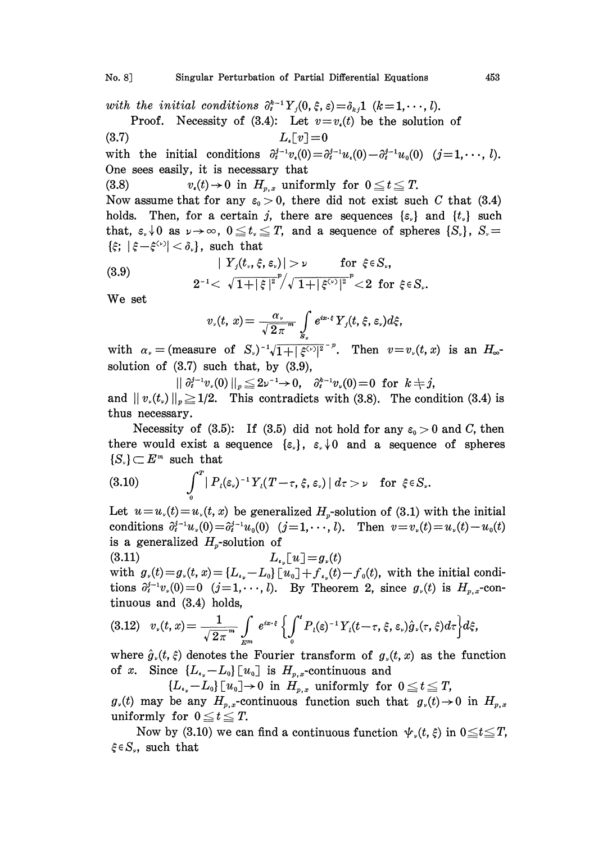No. 8] Singular Perturbation of Partial Differential Equations 4153

with the initial conditions  $\partial_t^{k-1}Y_j(0, \xi, \varepsilon) = \delta_{kj}1$   $(k=1,\dots, l).$ 

Proof. Necessity of (3.4): Let  $v=v_*(t)$  be the solution of (3.7)  $L_{\ast} [v] = 0$ with the initial conditions  $\partial_t^{j-1}v_s(0) = \partial_t^{j-1}u_s(0) - \partial_t^{j-1}u_0(0)$   $(j=1,\dots, l).$ 

One sees easily, it is necessary that

(3.8)  $v_s(t) \to 0$  in  $H_{p,s}$  uniformly for  $0 \le t \le T$ . Now assume that for any  $\varepsilon_0 > 0$ , there did not exist such C that (3.4) holds. Then, for a certain j, there are sequences  $\{\varepsilon_n\}$  and  $\{t_n\}$  such that,  $\varepsilon, \sqrt{0}$  as  $\nu \to \infty$ ,  $0 \le t \le T$ , and a sequence of spheres  $\{S_n\}$ ,  $S_n =$  $\{\xi; |\xi-\xi^{(1)}|<\delta_{\nu}\}\$ , such that

(3.9) 
$$
|Y_j(t_.,\xi,\varepsilon_\nu)| > \nu \quad \text{for } \xi \in S_\nu,
$$

$$
2^{-1} < \sqrt{1+|\xi|^2}/\sqrt{1+|\xi^{(\nu)}|^2}^{\nu} < 2 \text{ for } \xi \in S_\nu.
$$

We set

$$
v_{\nu}(t, x) = \frac{\alpha_{\nu}}{\sqrt{2\pi}} \int_{S_{\nu}} e^{ix \cdot \xi} Y_{j}(t, \xi, \varepsilon_{\nu}) d\xi,
$$

with  $\alpha_{\nu} =$  (measure of S<sub>v</sub>)<sup>-1</sup> $\sqrt{1+|\xi^{(\nu)}|^{2}}$ <sup>-p</sup>. Then  $v=v_{\nu}(t,x)$  is an  $H_{\infty}$ solution of (3.7) such that, by (3.9),

 $|| \partial_i^{j-1} v_{\nu}(0) ||_p \leq 2\nu^{-1} \to 0, \quad \partial_i^{k-1} v_{\nu}(0) = 0 \text{ for } k \neq j,$ and  $||v_{n}(t_{n})||_{n} \geq 1/2$ . This contradicts with (3.8). The condition (3.4) is thus necessary.

Necessity of (3.5): If (3.5) did not hold for any  $\varepsilon_0 > 0$  and C, then there would exist a sequence  $\{\varepsilon_{\nu}\}, \varepsilon_{\nu} \downarrow 0$  and a sequence of spheres  $\{S_{\nu}\}\subset E^m$  such that

(3.10) 
$$
\int_0^T |P_i(\varepsilon_\nu)^{-1} Y_i(T-\tau,\xi,\varepsilon_\nu)| d\tau > \nu \text{ for } \xi \in S_\nu.
$$

Let  $u=u_{\nu}(t)=u_{\nu}(t, x)$  be generalized  $H_{\nu}$ -solution of (3.1) with the initial conditions  $\partial_t^{j-1}u_v(0) = \partial_t^{j-1}u_v(0)$   $(j=1,\dots, l)$ . Then  $v = v_v(t) = u_v(t) - u_0(t)$  is a generalized  $H_p$ -solution of is a generalized  $H_p$ -solution of

 $L_{\epsilon_n}[u]=g_{\nu}(t)$  $(3.11)$ 

with  $g_{\nu}(t)=g_{\nu}(t, x)={L_{\nu_{\nu}}-L_0}$  [ $u_0$ ] +  $f_{\nu_{\nu}}(t)-f_0(t)$ , with the initial conditions  $\partial_i^{j-1}v_r(0)=0$   $(j=1,\dots, l)$ . By Theorem 2, since  $g_r(t)$  is  $H_{p,x}$ -continuous and (3.4) holds,

$$
(3.12) \quad v_{\nu}(t,x) = \frac{1}{\sqrt{2\pi}} \int_{E^m} e^{ix\cdot\xi} \left\{ \int_0^t P_i(\varepsilon)^{-1} Y_i(t-\tau,\xi,\varepsilon_\nu) \hat{g}_{\nu}(\tau,\xi) d\tau \right\} d\xi,
$$

where  $\hat{g}_{\nu}(t, \xi)$  denotes the Fourier transform of  $g_{\nu}(t, x)$  as the function of x. Since  ${L_{\epsilon_p}-L_0}$  [ $u_0$ ] is  $H_{p,x}$ -continuous and

 ${L_{\epsilon_p}}-L_0\$   $[u_0]\rightarrow 0$  in  $H_{p,x}$  uniformly for  $0\le t\le T$ ,

 $g_{\nu}(t)$  may be any  $H_{p,x}$ -continuous function such that  $g_{\nu}(t)\to 0$  in  $H_{p,x}$ uniformly for  $0 \le t \le T$ .

Now by (3.10) we can find a continuous function  $\psi_{\nu}(t, \xi)$  in  $0 \le t \le T$ ,  $\xi \in S_{\nu}$ , such that